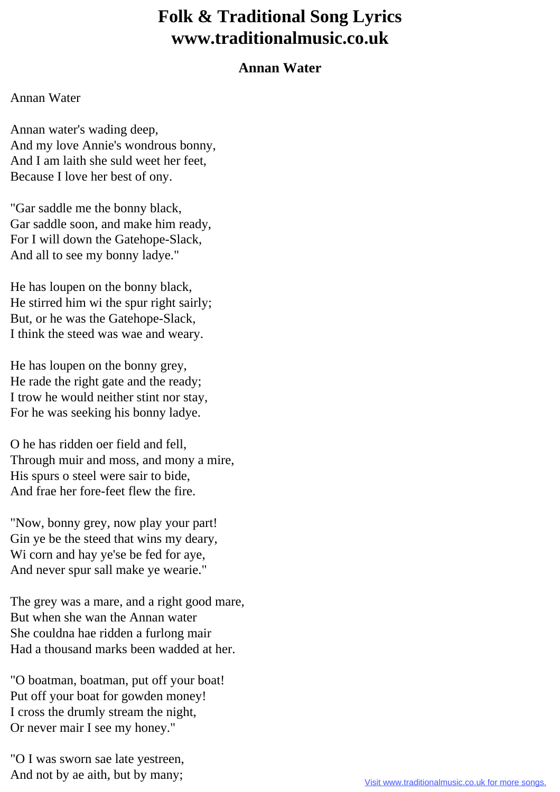## **Folk & Traditional Song Lyrics www.traditionalmusic.co.uk**

## **Annan Water**

## Annan Water

Annan water's wading deep, And my love Annie's wondrous bonny, And I am laith she suld weet her feet, Because I love her best of ony.

"Gar saddle me the bonny black, Gar saddle soon, and make him ready, For I will down the Gatehope-Slack, And all to see my bonny ladye."

He has loupen on the bonny black, He stirred him wi the spur right sairly; But, or he was the Gatehope-Slack, I think the steed was wae and weary.

He has loupen on the bonny grey, He rade the right gate and the ready; I trow he would neither stint nor stay, For he was seeking his bonny ladye.

O he has ridden oer field and fell, Through muir and moss, and mony a mire, His spurs o steel were sair to bide, And frae her fore-feet flew the fire.

"Now, bonny grey, now play your part! Gin ye be the steed that wins my deary, Wi corn and hay ye'se be fed for aye, And never spur sall make ye wearie."

The grey was a mare, and a right good mare, But when she wan the Annan water She couldna hae ridden a furlong mair Had a thousand marks been wadded at her.

"O boatman, boatman, put off your boat! Put off your boat for gowden money! I cross the drumly stream the night, Or never mair I see my honey."

"O I was sworn sae late yestreen, And not by ae aith, but by many;